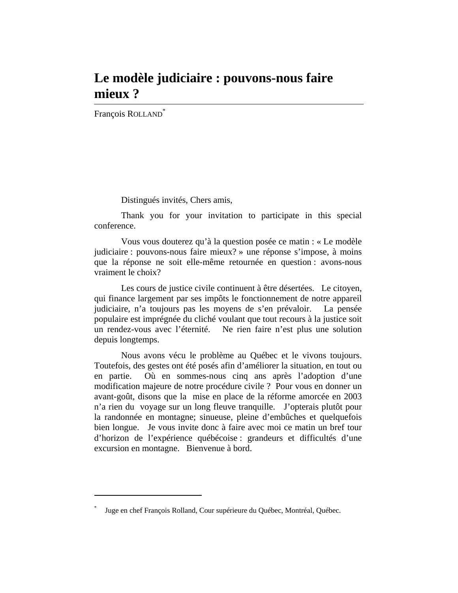## **Le modèle judiciaire : pouvons-nous faire mieux ?**

François ROLLAND<sup>\*</sup>

 $\overline{a}$ 

Distingués invités, Chers amis,

Thank you for your invitation to participate in this special conference.

Vous vous douterez qu'à la question posée ce matin : « Le modèle judiciaire : pouvons-nous faire mieux? » une réponse s'impose, à moins que la réponse ne soit elle-même retournée en question : avons-nous vraiment le choix?

Les cours de justice civile continuent à être désertées. Le citoyen, qui finance largement par ses impôts le fonctionnement de notre appareil judiciaire, n'a toujours pas les moyens de s'en prévaloir. La pensée populaire est imprégnée du cliché voulant que tout recours à la justice soit un rendez-vous avec l'éternité. Ne rien faire n'est plus une solution depuis longtemps.

Nous avons vécu le problème au Québec et le vivons toujours. Toutefois, des gestes ont été posés afin d'améliorer la situation, en tout ou en partie. Où en sommes-nous cinq ans après l'adoption d'une modification majeure de notre procédure civile ? Pour vous en donner un avant-goût, disons que la mise en place de la réforme amorcée en 2003 n'a rien du voyage sur un long fleuve tranquille. J'opterais plutôt pour la randonnée en montagne; sinueuse, pleine d'embûches et quelquefois bien longue. Je vous invite donc à faire avec moi ce matin un bref tour d'horizon de l'expérience québécoise : grandeurs et difficultés d'une excursion en montagne. Bienvenue à bord.

<sup>\*</sup> Juge en chef François Rolland, Cour supérieure du Québec, Montréal, Québec.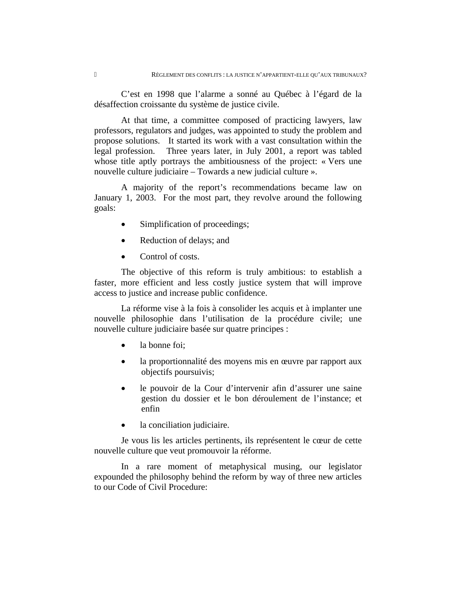C'est en 1998 que l'alarme a sonné au Québec à l'égard de la désaffection croissante du système de justice civile.

At that time, a committee composed of practicing lawyers, law professors, regulators and judges, was appointed to study the problem and propose solutions. It started its work with a vast consultation within the legal profession. Three years later, in July 2001, a report was tabled whose title aptly portrays the ambitiousness of the project: « Vers une nouvelle culture judiciaire – Towards a new judicial culture ».

A majority of the report's recommendations became law on January 1, 2003. For the most part, they revolve around the following goals:

- Simplification of proceedings;
- Reduction of delays; and
- Control of costs.

The objective of this reform is truly ambitious: to establish a faster, more efficient and less costly justice system that will improve access to justice and increase public confidence.

La réforme vise à la fois à consolider les acquis et à implanter une nouvelle philosophie dans l'utilisation de la procédure civile; une nouvelle culture judiciaire basée sur quatre principes :

- la bonne foi;
- la proportionnalité des moyens mis en œuvre par rapport aux objectifs poursuivis;
- le pouvoir de la Cour d'intervenir afin d'assurer une saine gestion du dossier et le bon déroulement de l'instance; et enfin
- la conciliation judiciaire.

Je vous lis les articles pertinents, ils représentent le cœur de cette nouvelle culture que veut promouvoir la réforme.

In a rare moment of metaphysical musing, our legislator expounded the philosophy behind the reform by way of three new articles to our Code of Civil Procedure: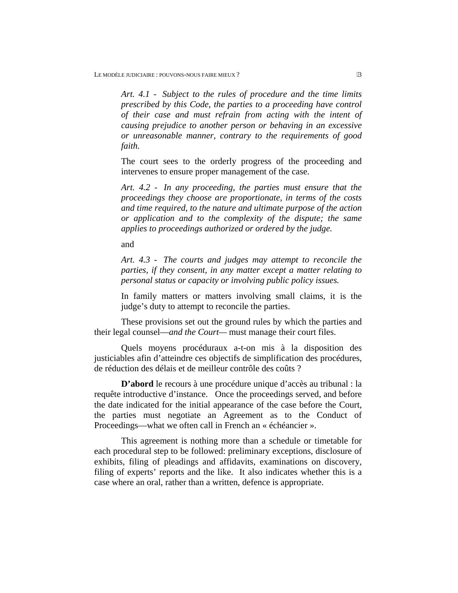*Art. 4.1 - Subject to the rules of procedure and the time limits prescribed by this Code, the parties to a proceeding have control of their case and must refrain from acting with the intent of causing prejudice to another person or behaving in an excessive or unreasonable manner, contrary to the requirements of good faith.* 

The court sees to the orderly progress of the proceeding and intervenes to ensure proper management of the case.

*Art. 4.2 - In any proceeding, the parties must ensure that the proceedings they choose are proportionate, in terms of the costs and time required, to the nature and ultimate purpose of the action or application and to the complexity of the dispute; the same applies to proceedings authorized or ordered by the judge.* 

and

*Art. 4.3 - The courts and judges may attempt to reconcile the parties, if they consent, in any matter except a matter relating to personal status or capacity or involving public policy issues.* 

In family matters or matters involving small claims, it is the judge's duty to attempt to reconcile the parties.

These provisions set out the ground rules by which the parties and their legal counsel—*and the Court—* must manage their court files.

Quels moyens procéduraux a-t-on mis à la disposition des justiciables afin d'atteindre ces objectifs de simplification des procédures, de réduction des délais et de meilleur contrôle des coûts ?

**D'abord** le recours à une procédure unique d'accès au tribunal : la requête introductive d'instance. Once the proceedings served, and before the date indicated for the initial appearance of the case before the Court, the parties must negotiate an Agreement as to the Conduct of Proceedings—what we often call in French an « échéancier ».

This agreement is nothing more than a schedule or timetable for each procedural step to be followed: preliminary exceptions, disclosure of exhibits, filing of pleadings and affidavits, examinations on discovery, filing of experts' reports and the like. It also indicates whether this is a case where an oral, rather than a written, defence is appropriate.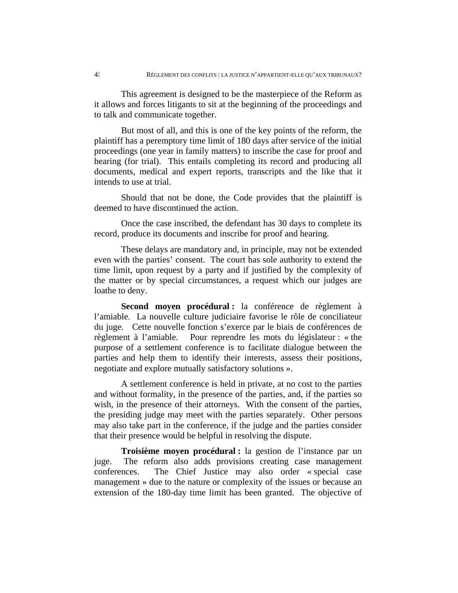This agreement is designed to be the masterpiece of the Reform as it allows and forces litigants to sit at the beginning of the proceedings and to talk and communicate together.

But most of all, and this is one of the key points of the reform, the plaintiff has a peremptory time limit of 180 days after service of the initial proceedings (one year in family matters) to inscribe the case for proof and hearing (for trial). This entails completing its record and producing all documents, medical and expert reports, transcripts and the like that it intends to use at trial.

Should that not be done, the Code provides that the plaintiff is deemed to have discontinued the action.

Once the case inscribed, the defendant has 30 days to complete its record, produce its documents and inscribe for proof and hearing.

These delays are mandatory and, in principle, may not be extended even with the parties' consent. The court has sole authority to extend the time limit, upon request by a party and if justified by the complexity of the matter or by special circumstances, a request which our judges are loathe to deny.

**Second moyen procédural :** la conférence de règlement à l'amiable. La nouvelle culture judiciaire favorise le rôle de conciliateur du juge. Cette nouvelle fonction s'exerce par le biais de conférences de règlement à l'amiable. Pour reprendre les mots du législateur : « the purpose of a settlement conference is to facilitate dialogue between the parties and help them to identify their interests, assess their positions, negotiate and explore mutually satisfactory solutions ».

A settlement conference is held in private, at no cost to the parties and without formality, in the presence of the parties, and, if the parties so wish, in the presence of their attorneys. With the consent of the parties, the presiding judge may meet with the parties separately. Other persons may also take part in the conference, if the judge and the parties consider that their presence would be helpful in resolving the dispute.

**Troisième moyen procédural :** la gestion de l'instance par un juge. The reform also adds provisions creating case management conferences. The Chief Justice may also order « special case management » due to the nature or complexity of the issues or because an extension of the 180-day time limit has been granted. The objective of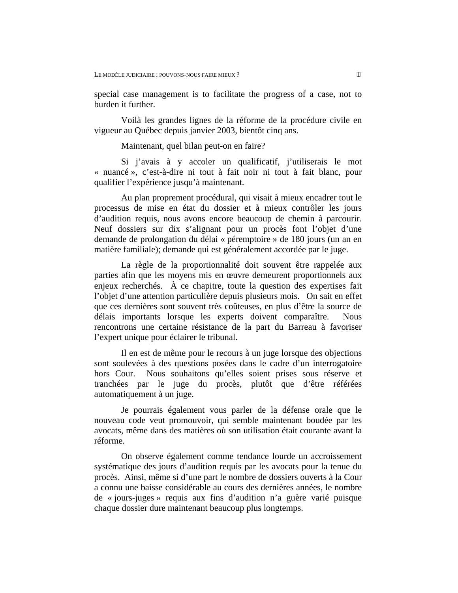special case management is to facilitate the progress of a case, not to burden it further.

Voilà les grandes lignes de la réforme de la procédure civile en vigueur au Québec depuis janvier 2003, bientôt cinq ans.

Maintenant, quel bilan peut-on en faire?

Si j'avais à y accoler un qualificatif, j'utiliserais le mot « nuancé », c'est-à-dire ni tout à fait noir ni tout à fait blanc, pour qualifier l'expérience jusqu'à maintenant.

Au plan proprement procédural, qui visait à mieux encadrer tout le processus de mise en état du dossier et à mieux contrôler les jours d'audition requis, nous avons encore beaucoup de chemin à parcourir. Neuf dossiers sur dix s'alignant pour un procès font l'objet d'une demande de prolongation du délai « péremptoire » de 180 jours (un an en matière familiale); demande qui est généralement accordée par le juge.

La règle de la proportionnalité doit souvent être rappelée aux parties afin que les moyens mis en œuvre demeurent proportionnels aux enjeux recherchés. À ce chapitre, toute la question des expertises fait l'objet d'une attention particulière depuis plusieurs mois. On sait en effet que ces dernières sont souvent très coûteuses, en plus d'être la source de délais importants lorsque les experts doivent comparaître. Nous rencontrons une certaine résistance de la part du Barreau à favoriser l'expert unique pour éclairer le tribunal.

Il en est de même pour le recours à un juge lorsque des objections sont soulevées à des questions posées dans le cadre d'un interrogatoire hors Cour. Nous souhaitons qu'elles soient prises sous réserve et tranchées par le juge du procès, plutôt que d'être référées automatiquement à un juge.

Je pourrais également vous parler de la défense orale que le nouveau code veut promouvoir, qui semble maintenant boudée par les avocats, même dans des matières où son utilisation était courante avant la réforme.

On observe également comme tendance lourde un accroissement systématique des jours d'audition requis par les avocats pour la tenue du procès. Ainsi, même si d'une part le nombre de dossiers ouverts à la Cour a connu une baisse considérable au cours des dernières années, le nombre de « jours-juges » requis aux fins d'audition n'a guère varié puisque chaque dossier dure maintenant beaucoup plus longtemps.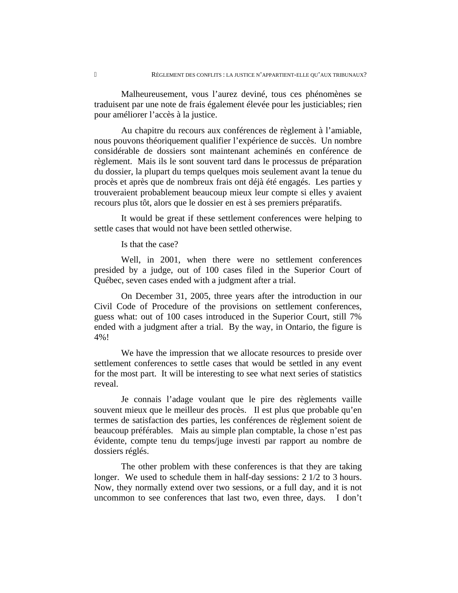Malheureusement, vous l'aurez deviné, tous ces phénomènes se traduisent par une note de frais également élevée pour les justiciables; rien pour améliorer l'accès à la justice.

Au chapitre du recours aux conférences de règlement à l'amiable, nous pouvons théoriquement qualifier l'expérience de succès. Un nombre considérable de dossiers sont maintenant acheminés en conférence de règlement. Mais ils le sont souvent tard dans le processus de préparation du dossier, la plupart du temps quelques mois seulement avant la tenue du procès et après que de nombreux frais ont déjà été engagés. Les parties y trouveraient probablement beaucoup mieux leur compte si elles y avaient recours plus tôt, alors que le dossier en est à ses premiers préparatifs.

It would be great if these settlement conferences were helping to settle cases that would not have been settled otherwise.

Is that the case?

Well, in 2001, when there were no settlement conferences presided by a judge, out of 100 cases filed in the Superior Court of Québec, seven cases ended with a judgment after a trial.

On December 31, 2005, three years after the introduction in our Civil Code of Procedure of the provisions on settlement conferences, guess what: out of 100 cases introduced in the Superior Court, still 7% ended with a judgment after a trial. By the way, in Ontario, the figure is 4%!

We have the impression that we allocate resources to preside over settlement conferences to settle cases that would be settled in any event for the most part. It will be interesting to see what next series of statistics reveal.

Je connais l'adage voulant que le pire des règlements vaille souvent mieux que le meilleur des procès. Il est plus que probable qu'en termes de satisfaction des parties, les conférences de règlement soient de beaucoup préférables. Mais au simple plan comptable, la chose n'est pas évidente, compte tenu du temps/juge investi par rapport au nombre de dossiers réglés.

The other problem with these conferences is that they are taking longer. We used to schedule them in half-day sessions: 2 1/2 to 3 hours. Now, they normally extend over two sessions, or a full day, and it is not uncommon to see conferences that last two, even three, days. I don't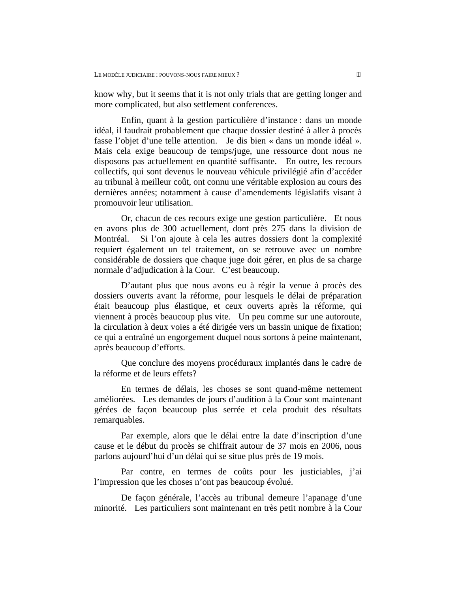know why, but it seems that it is not only trials that are getting longer and more complicated, but also settlement conferences.

Enfin, quant à la gestion particulière d'instance : dans un monde idéal, il faudrait probablement que chaque dossier destiné à aller à procès fasse l'objet d'une telle attention. Je dis bien « dans un monde idéal ». Mais cela exige beaucoup de temps/juge, une ressource dont nous ne disposons pas actuellement en quantité suffisante. En outre, les recours collectifs, qui sont devenus le nouveau véhicule privilégié afin d'accéder au tribunal à meilleur coût, ont connu une véritable explosion au cours des dernières années; notamment à cause d'amendements législatifs visant à promouvoir leur utilisation.

Or, chacun de ces recours exige une gestion particulière. Et nous en avons plus de 300 actuellement, dont près 275 dans la division de Montréal. Si l'on ajoute à cela les autres dossiers dont la complexité requiert également un tel traitement, on se retrouve avec un nombre considérable de dossiers que chaque juge doit gérer, en plus de sa charge normale d'adjudication à la Cour. C'est beaucoup.

D'autant plus que nous avons eu à régir la venue à procès des dossiers ouverts avant la réforme, pour lesquels le délai de préparation était beaucoup plus élastique, et ceux ouverts après la réforme, qui viennent à procès beaucoup plus vite. Un peu comme sur une autoroute, la circulation à deux voies a été dirigée vers un bassin unique de fixation; ce qui a entraîné un engorgement duquel nous sortons à peine maintenant, après beaucoup d'efforts.

Que conclure des moyens procéduraux implantés dans le cadre de la réforme et de leurs effets?

En termes de délais, les choses se sont quand-même nettement améliorées. Les demandes de jours d'audition à la Cour sont maintenant gérées de façon beaucoup plus serrée et cela produit des résultats remarquables.

Par exemple, alors que le délai entre la date d'inscription d'une cause et le début du procès se chiffrait autour de 37 mois en 2006, nous parlons aujourd'hui d'un délai qui se situe plus près de 19 mois.

Par contre, en termes de coûts pour les justiciables, j'ai l'impression que les choses n'ont pas beaucoup évolué.

De façon générale, l'accès au tribunal demeure l'apanage d'une minorité. Les particuliers sont maintenant en très petit nombre à la Cour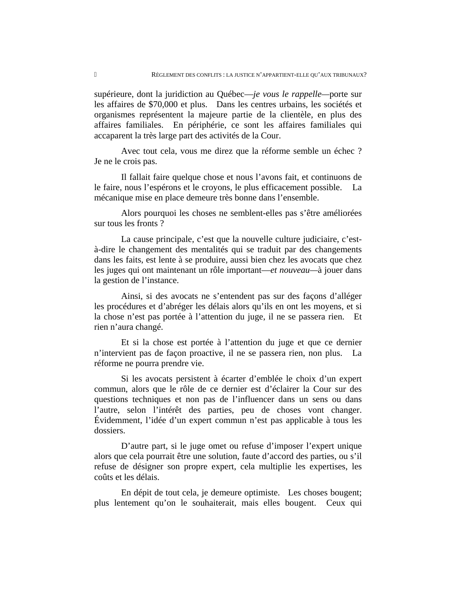supérieure, dont la juridiction au Québec—*je vous le rappelle—*porte sur les affaires de \$70,000 et plus. Dans les centres urbains, les sociétés et organismes représentent la majeure partie de la clientèle, en plus des affaires familiales. En périphérie, ce sont les affaires familiales qui accaparent la très large part des activités de la Cour.

Avec tout cela, vous me direz que la réforme semble un échec ? Je ne le crois pas.

Il fallait faire quelque chose et nous l'avons fait, et continuons de le faire, nous l'espérons et le croyons, le plus efficacement possible. La mécanique mise en place demeure très bonne dans l'ensemble.

Alors pourquoi les choses ne semblent-elles pas s'être améliorées sur tous les fronts ?

La cause principale, c'est que la nouvelle culture judiciaire, c'està-dire le changement des mentalités qui se traduit par des changements dans les faits, est lente à se produire, aussi bien chez les avocats que chez les juges qui ont maintenant un rôle important—*et nouveau—*à jouer dans la gestion de l'instance.

Ainsi, si des avocats ne s'entendent pas sur des façons d'alléger les procédures et d'abréger les délais alors qu'ils en ont les moyens, et si la chose n'est pas portée à l'attention du juge, il ne se passera rien. Et rien n'aura changé.

Et si la chose est portée à l'attention du juge et que ce dernier n'intervient pas de façon proactive, il ne se passera rien, non plus. La réforme ne pourra prendre vie.

Si les avocats persistent à écarter d'emblée le choix d'un expert commun, alors que le rôle de ce dernier est d'éclairer la Cour sur des questions techniques et non pas de l'influencer dans un sens ou dans l'autre, selon l'intérêt des parties, peu de choses vont changer. Évidemment, l'idée d'un expert commun n'est pas applicable à tous les dossiers.

D'autre part, si le juge omet ou refuse d'imposer l'expert unique alors que cela pourrait être une solution, faute d'accord des parties, ou s'il refuse de désigner son propre expert, cela multiplie les expertises, les coûts et les délais.

En dépit de tout cela, je demeure optimiste. Les choses bougent; plus lentement qu'on le souhaiterait, mais elles bougent. Ceux qui